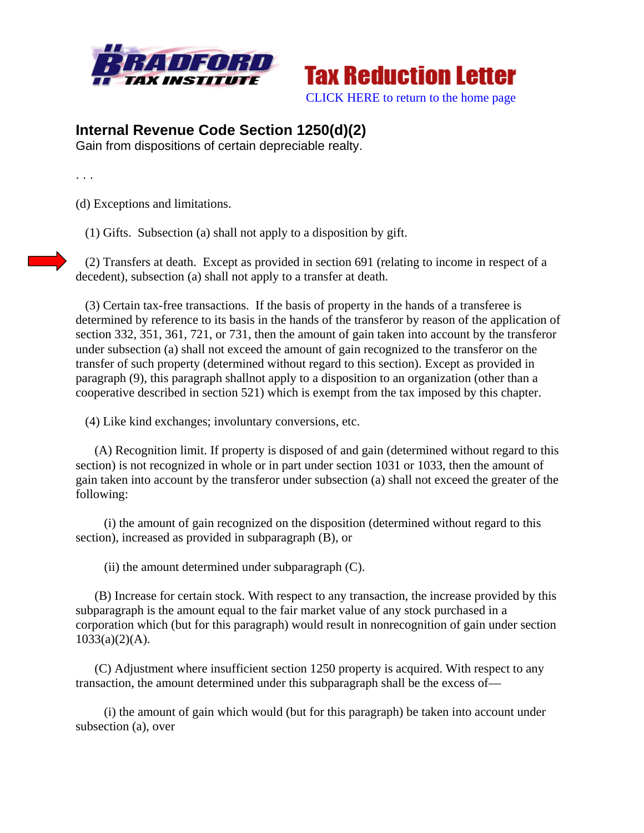



## **Internal Revenue Code Section 1250(d)(2)**

Gain from dispositions of certain depreciable realty.

. . .

(d) Exceptions and limitations.

(1) Gifts. Subsection (a) shall not apply to a disposition by gift.

 (2) Transfers at death. Except as provided in section 691 (relating to income in respect of a decedent), subsection (a) shall not apply to a transfer at death.

 (3) Certain tax-free transactions. If the basis of property in the hands of a transferee is determined by reference to its basis in the hands of the transferor by reason of the application of section 332, 351, 361, 721, or 731, then the amount of gain taken into account by the transferor under subsection (a) shall not exceed the amount of gain recognized to the transferor on the transfer of such property (determined without regard to this section). Except as provided in paragraph (9), this paragraph shallnot apply to a disposition to an organization (other than a cooperative described in section 521) which is exempt from the tax imposed by this chapter.

(4) Like kind exchanges; involuntary conversions, etc.

 (A) Recognition limit. If property is disposed of and gain (determined without regard to this section) is not recognized in whole or in part under section 1031 or 1033, then the amount of gain taken into account by the transferor under subsection (a) shall not exceed the greater of the following:

 (i) the amount of gain recognized on the disposition (determined without regard to this section), increased as provided in subparagraph (B), or

(ii) the amount determined under subparagraph (C).

 (B) Increase for certain stock. With respect to any transaction, the increase provided by this subparagraph is the amount equal to the fair market value of any stock purchased in a corporation which (but for this paragraph) would result in nonrecognition of gain under section  $1033(a)(2)(A)$ .

 (C) Adjustment where insufficient section 1250 property is acquired. With respect to any transaction, the amount determined under this subparagraph shall be the excess of—

 (i) the amount of gain which would (but for this paragraph) be taken into account under subsection (a), over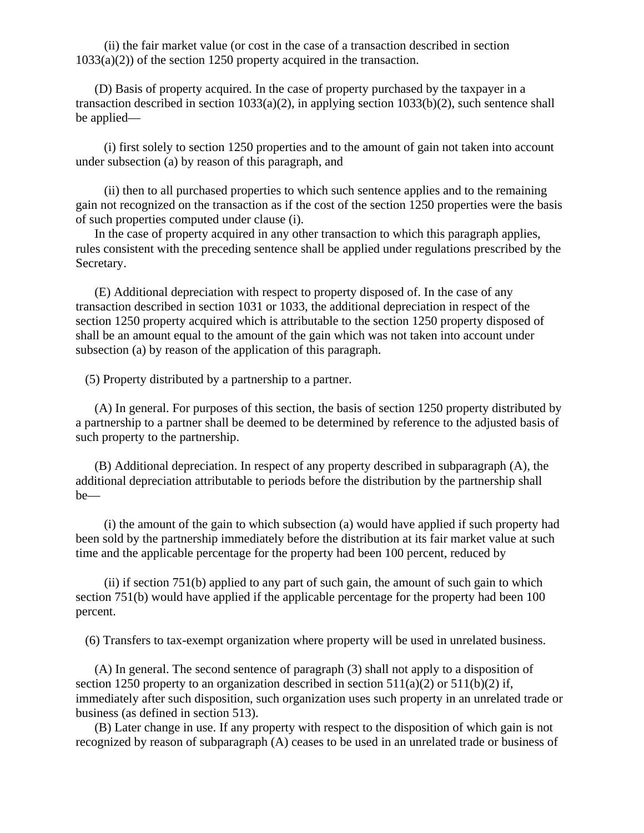(ii) the fair market value (or cost in the case of a transaction described in section  $1033(a)(2)$ ) of the section 1250 property acquired in the transaction.

 (D) Basis of property acquired. In the case of property purchased by the taxpayer in a transaction described in section 1033(a)(2), in applying section 1033(b)(2), such sentence shall be applied—

 (i) first solely to section 1250 properties and to the amount of gain not taken into account under subsection (a) by reason of this paragraph, and

 (ii) then to all purchased properties to which such sentence applies and to the remaining gain not recognized on the transaction as if the cost of the section 1250 properties were the basis of such properties computed under clause (i).

 In the case of property acquired in any other transaction to which this paragraph applies, rules consistent with the preceding sentence shall be applied under regulations prescribed by the Secretary.

 (E) Additional depreciation with respect to property disposed of. In the case of any transaction described in section 1031 or 1033, the additional depreciation in respect of the section 1250 property acquired which is attributable to the section 1250 property disposed of shall be an amount equal to the amount of the gain which was not taken into account under subsection (a) by reason of the application of this paragraph.

(5) Property distributed by a partnership to a partner.

 (A) In general. For purposes of this section, the basis of section 1250 property distributed by a partnership to a partner shall be deemed to be determined by reference to the adjusted basis of such property to the partnership.

 (B) Additional depreciation. In respect of any property described in subparagraph (A), the additional depreciation attributable to periods before the distribution by the partnership shall be—

 (i) the amount of the gain to which subsection (a) would have applied if such property had been sold by the partnership immediately before the distribution at its fair market value at such time and the applicable percentage for the property had been 100 percent, reduced by

 (ii) if section 751(b) applied to any part of such gain, the amount of such gain to which section 751(b) would have applied if the applicable percentage for the property had been 100 percent.

(6) Transfers to tax-exempt organization where property will be used in unrelated business.

 (A) In general. The second sentence of paragraph (3) shall not apply to a disposition of section 1250 property to an organization described in section  $511(a)(2)$  or  $511(b)(2)$  if, immediately after such disposition, such organization uses such property in an unrelated trade or business (as defined in section 513).

 (B) Later change in use. If any property with respect to the disposition of which gain is not recognized by reason of subparagraph (A) ceases to be used in an unrelated trade or business of